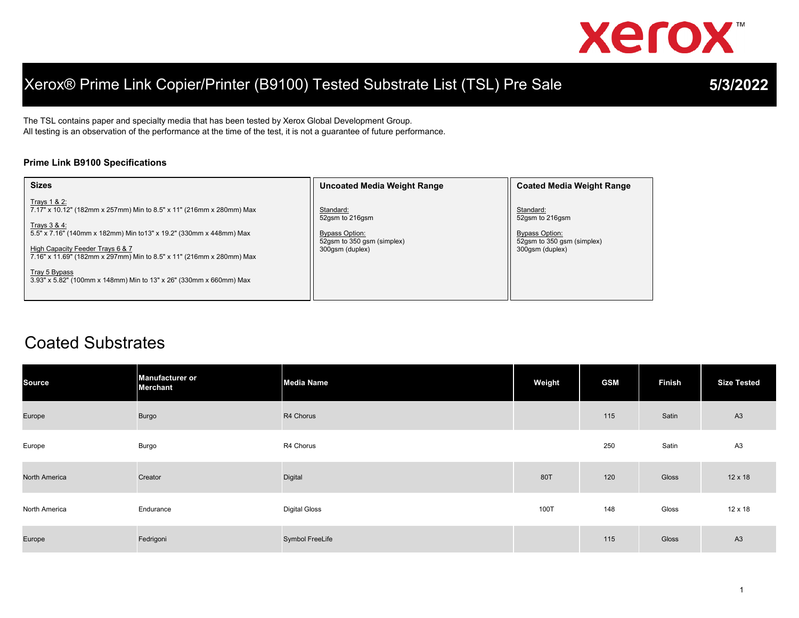

# Xerox® Prime Link Copier/Printer (B9100) Tested Substrate List (TSL) Pre Sale **5/3/2022**

The TSL contains paper and specialty media that has been tested by Xerox Global Development Group. All testing is an observation of the performance at the time of the test, it is not a guarantee of future performance.

#### **Prime Link B9100 Specifications**

| <b>Sizes</b>                                                                                                                                                                                                                                                                                                                                                                  | Uncoated Media Weight Range                                                                            | <b>Coated Media Weight Range</b>                                                                       |
|-------------------------------------------------------------------------------------------------------------------------------------------------------------------------------------------------------------------------------------------------------------------------------------------------------------------------------------------------------------------------------|--------------------------------------------------------------------------------------------------------|--------------------------------------------------------------------------------------------------------|
| Trays 1 & 2:<br>7.17" x 10.12" (182mm x 257mm) Min to 8.5" x 11" (216mm x 280mm) Max<br>Trays 3 & 4:<br>5.5" x 7.16" (140mm x 182mm) Min to13" x 19.2" (330mm x 448mm) Max<br>High Capacity Feeder Trays 6 & 7<br>7.16" x 11.69" (182mm x 297mm) Min to 8.5" x 11" (216mm x 280mm) Max<br>Tray 5 Bypass<br>3.93" x 5.82" (100mm x 148mm) Min to 13" x 26" (330mm x 660mm) Max | Standard:<br>52gsm to 216gsm<br><b>Bypass Option:</b><br>52gsm to 350 gsm (simplex)<br>300gsm (duplex) | Standard:<br>52qsm to 216qsm<br><b>Bypass Option:</b><br>52qsm to 350 qsm (simplex)<br>300gsm (duplex) |

### Coated Substrates

| <b>Source</b>        | <b>Manufacturer or</b><br><b>Merchant</b> | <b>Media Name</b>      | Weight | <b>GSM</b> | <b>Finish</b> | <b>Size Tested</b> |
|----------------------|-------------------------------------------|------------------------|--------|------------|---------------|--------------------|
| Europe               | <b>Burgo</b>                              | R4 Chorus              |        | 115        | Satin         | A3                 |
| Europe               | Burgo                                     | R4 Chorus              |        | 250        | Satin         | A3                 |
| <b>North America</b> | Creator                                   | Digital                | 80T    | 120        | Gloss         | $12 \times 18$     |
| North America        | Endurance                                 | <b>Digital Gloss</b>   | 100T   | 148        | Gloss         | 12 x 18            |
| Europe               | Fedrigoni                                 | <b>Symbol FreeLife</b> |        | 115        | Gloss         | A3                 |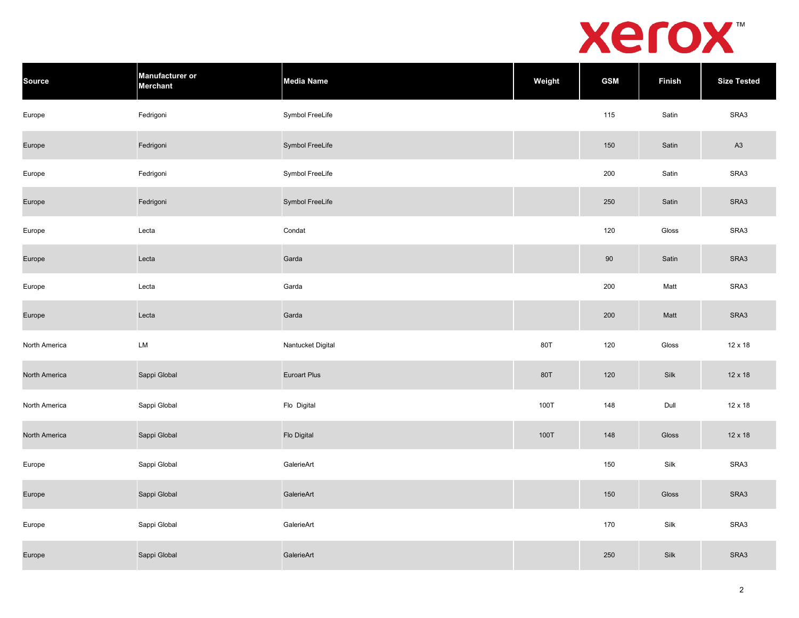

| <b>Source</b> | Manufacturer or<br>Merchant | <b>Media Name</b>   | Weight | <b>GSM</b> | <b>Finish</b> | <b>Size Tested</b> |
|---------------|-----------------------------|---------------------|--------|------------|---------------|--------------------|
| Europe        | Fedrigoni                   | Symbol FreeLife     |        | 115        | Satin         | SRA3               |
| Europe        | Fedrigoni                   | Symbol FreeLife     |        | 150        | Satin         | A3                 |
| Europe        | Fedrigoni                   | Symbol FreeLife     |        | 200        | Satin         | SRA3               |
| Europe        | Fedrigoni                   | Symbol FreeLife     |        | 250        | Satin         | SRA3               |
| Europe        | Lecta                       | Condat              |        | 120        | Gloss         | SRA3               |
| Europe        | Lecta                       | Garda               |        | $90\,$     | Satin         | SRA3               |
| Europe        | Lecta                       | Garda               |        | 200        | Matt          | SRA3               |
| Europe        | Lecta                       | Garda               |        | 200        | Matt          | SRA3               |
| North America | LM                          | Nantucket Digital   | 80T    | 120        | Gloss         | 12 x 18            |
| North America | Sappi Global                | <b>Euroart Plus</b> | 80T    | 120        | Silk          | 12 x 18            |
| North America | Sappi Global                | Flo Digital         | 100T   | 148        | Dull          | 12 x 18            |
| North America | Sappi Global                | <b>Flo Digital</b>  | 100T   | 148        | Gloss         | 12 x 18            |
| Europe        | Sappi Global                | GalerieArt          |        | 150        | Silk          | SRA3               |
| Europe        | Sappi Global                | GalerieArt          |        | 150        | Gloss         | SRA3               |
| Europe        | Sappi Global                | GalerieArt          |        | 170        | Silk          | SRA3               |
| Europe        | Sappi Global                | GalerieArt          |        | 250        | Silk          | SRA3               |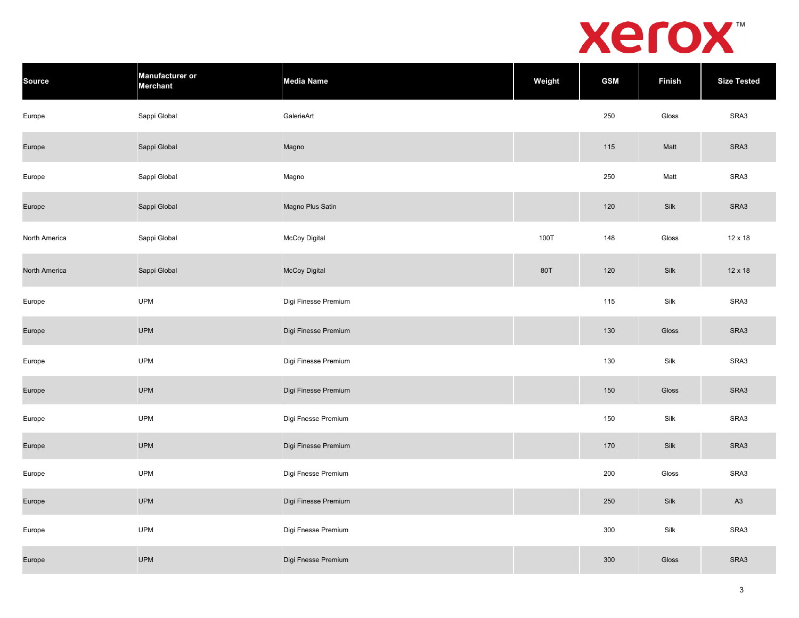

| <b>Source</b> | Manufacturer or<br>Merchant | <b>Media Name</b>    | Weight | <b>GSM</b> | <b>Finish</b> | <b>Size Tested</b> |
|---------------|-----------------------------|----------------------|--------|------------|---------------|--------------------|
| Europe        | Sappi Global                | GalerieArt           |        | 250        | Gloss         | SRA3               |
| Europe        | Sappi Global                | Magno                |        | 115        | Matt          | SRA3               |
| Europe        | Sappi Global                | Magno                |        | 250        | Matt          | SRA3               |
| Europe        | Sappi Global                | Magno Plus Satin     |        | 120        | Silk          | SRA3               |
| North America | Sappi Global                | McCoy Digital        | 100T   | 148        | Gloss         | 12 x 18            |
| North America | Sappi Global                | <b>McCoy Digital</b> | 80T    | 120        | Silk          | 12 x 18            |
| Europe        | <b>UPM</b>                  | Digi Finesse Premium |        | 115        | Silk          | SRA3               |
| Europe        | <b>UPM</b>                  | Digi Finesse Premium |        | 130        | Gloss         | SRA3               |
| Europe        | <b>UPM</b>                  | Digi Finesse Premium |        | 130        | Silk          | SRA3               |
| Europe        | <b>UPM</b>                  | Digi Finesse Premium |        | 150        | Gloss         | SRA3               |
| Europe        | <b>UPM</b>                  | Digi Fnesse Premium  |        | 150        | Silk          | SRA3               |
| Europe        | <b>UPM</b>                  | Digi Finesse Premium |        | 170        | Silk          | SRA3               |
| Europe        | <b>UPM</b>                  | Digi Fnesse Premium  |        | 200        | Gloss         | SRA3               |
| Europe        | <b>UPM</b>                  | Digi Finesse Premium |        | 250        | Silk          | A <sub>3</sub>     |
| Europe        | <b>UPM</b>                  | Digi Fnesse Premium  |        | 300        | Silk          | SRA3               |
| Europe        | <b>UPM</b>                  | Digi Fnesse Premium  |        | 300        | Gloss         | SRA3               |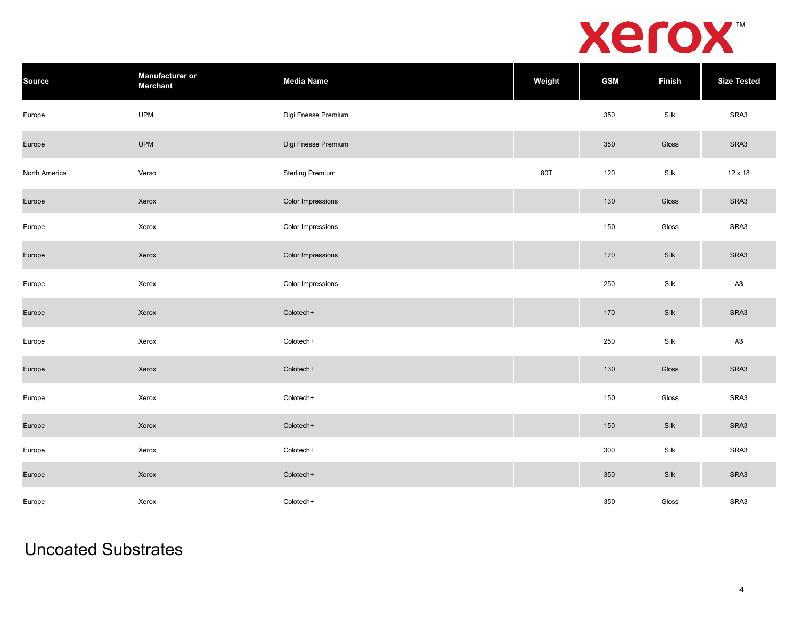

| Source        | <b>Manufacturer or</b><br>Merchant | <b>Media Name</b>        | Weight | <b>GSM</b> | Finish | <b>Size Tested</b> |
|---------------|------------------------------------|--------------------------|--------|------------|--------|--------------------|
| Europe        | <b>UPM</b>                         | Digi Fnesse Premium      |        | 350        | Silk   | SRA3               |
| Europe        | <b>UPM</b>                         | Digi Fnesse Premium      |        | 350        | Gloss  | SRA3               |
| North America | Verso                              | <b>Sterling Premium</b>  | 80T    | 120        | Silk   | 12 x 18            |
| Europe        | Xerox                              | <b>Color Impressions</b> |        | 130        | Gloss  | SRA3               |
| Europe        | Xerox                              | Color Impressions        |        | 150        | Gloss  | SRA3               |
| Europe        | Xerox                              | Color Impressions        |        | 170        | Silk   | SRA3               |
| Europe        | Xerox                              | Color Impressions        |        | 250        | Silk   | A3                 |
| Europe        | Xerox                              | Colotech+                |        | 170        | Silk   | SRA3               |
| Europe        | Xerox                              | Colotech+                |        | 250        | Silk   | A3                 |
| Europe        | Xerox                              | Colotech+                |        | 130        | Gloss  | SRA3               |
| Europe        | Xerox                              | Colotech+                |        | 150        | Gloss  | SRA3               |
| Europe        | Xerox                              | Colotech+                |        | 150        | Silk   | SRA3               |
| Europe        | Xerox                              | Colotech+                |        | 300        | Silk   | SRA3               |
| Europe        | Xerox                              | Colotech+                |        | 350        | Silk   | SRA3               |
| Europe        | Xerox                              | Colotech+                |        | 350        | Gloss  | SRA3               |

## Uncoated Substrates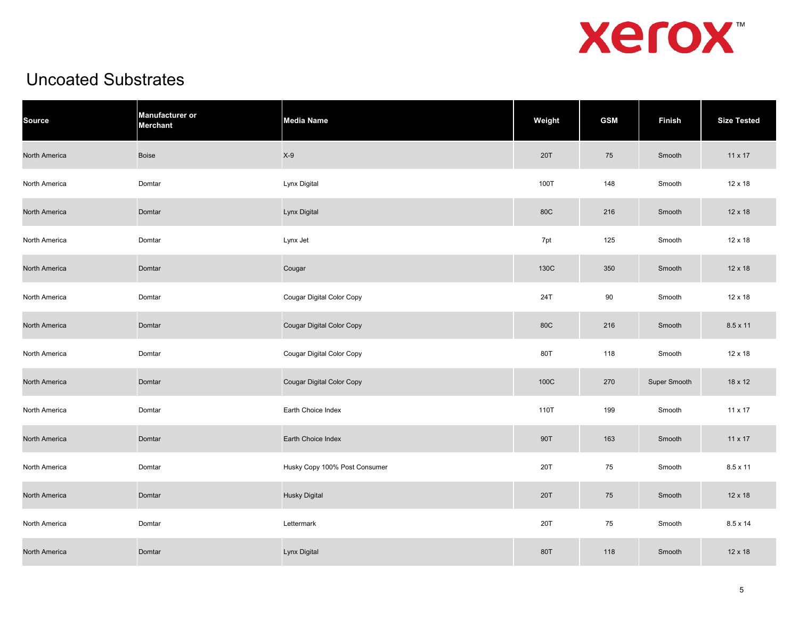

# Uncoated Substrates

| <b>Source</b>        | <b>Manufacturer or</b><br><b>Merchant</b> | <b>Media Name</b>             | Weight | <b>GSM</b> | <b>Finish</b> | <b>Size Tested</b> |
|----------------------|-------------------------------------------|-------------------------------|--------|------------|---------------|--------------------|
| North America        | <b>Boise</b>                              | $X-9$                         | 20T    | 75         | Smooth        | 11 x 17            |
| North America        | Domtar                                    | Lynx Digital                  | 100T   | 148        | Smooth        | 12 x 18            |
| <b>North America</b> | Domtar                                    | Lynx Digital                  | 80C    | 216        | Smooth        | 12 x 18            |
| North America        | Domtar                                    | Lynx Jet                      | 7pt    | 125        | Smooth        | 12 x 18            |
| North America        | Domtar                                    | Cougar                        | 130C   | 350        | Smooth        | 12 x 18            |
| North America        | Domtar                                    | Cougar Digital Color Copy     | 24T    | 90         | Smooth        | 12 x 18            |
| North America        | Domtar                                    | Cougar Digital Color Copy     | 80C    | 216        | Smooth        | $8.5 \times 11$    |
| North America        | Domtar                                    | Cougar Digital Color Copy     | 80T    | 118        | Smooth        | 12 x 18            |
| North America        | Domtar                                    | Cougar Digital Color Copy     | 100C   | 270        | Super Smooth  | 18 x 12            |
| North America        | Domtar                                    | Earth Choice Index            | 110T   | 199        | Smooth        | 11 x 17            |
| <b>North America</b> | Domtar                                    | Earth Choice Index            | 90T    | 163        | Smooth        | 11 x 17            |
| North America        | Domtar                                    | Husky Copy 100% Post Consumer | 20T    | 75         | Smooth        | $8.5 \times 11$    |
| <b>North America</b> | Domtar                                    | <b>Husky Digital</b>          | 20T    | 75         | Smooth        | 12 x 18            |
| North America        | Domtar                                    | Lettermark                    | 20T    | 75         | Smooth        | 8.5 x 14           |
| <b>North America</b> | Domtar                                    | Lynx Digital                  | 80T    | 118        | Smooth        | 12 x 18            |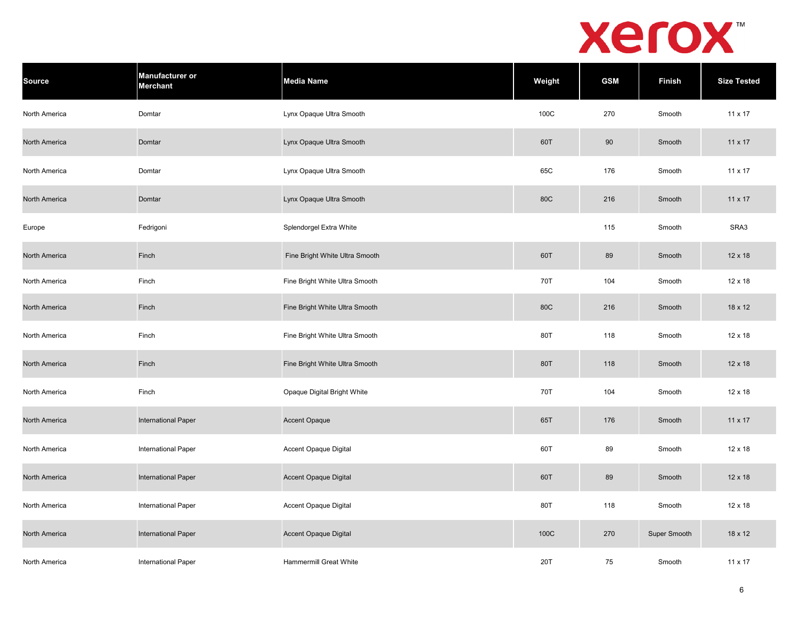

| <b>Source</b> | <b>Manufacturer or</b><br><b>Merchant</b> | <b>Media Name</b>              | Weight | <b>GSM</b> | <b>Finish</b> | <b>Size Tested</b> |
|---------------|-------------------------------------------|--------------------------------|--------|------------|---------------|--------------------|
| North America | Domtar                                    | Lynx Opaque Ultra Smooth       | 100C   | 270        | Smooth        | $11 \times 17$     |
| North America | Domtar                                    | Lynx Opaque Ultra Smooth       | 60T    | 90         | Smooth        | 11 x 17            |
| North America | Domtar                                    | Lynx Opaque Ultra Smooth       | 65C    | 176        | Smooth        | 11 x 17            |
| North America | Domtar                                    | Lynx Opaque Ultra Smooth       | 80C    | 216        | Smooth        | 11 x 17            |
| Europe        | Fedrigoni                                 | Splendorgel Extra White        |        | 115        | Smooth        | SRA3               |
| North America | Finch                                     | Fine Bright White Ultra Smooth | 60T    | 89         | Smooth        | 12 x 18            |
| North America | Finch                                     | Fine Bright White Ultra Smooth | 70T    | 104        | Smooth        | 12 x 18            |
| North America | Finch                                     | Fine Bright White Ultra Smooth | 80C    | 216        | Smooth        | 18 x 12            |
| North America | Finch                                     | Fine Bright White Ultra Smooth | 80T    | 118        | Smooth        | 12 x 18            |
| North America | Finch                                     | Fine Bright White Ultra Smooth | 80T    | 118        | Smooth        | 12 x 18            |
| North America | Finch                                     | Opaque Digital Bright White    | 70T    | 104        | Smooth        | 12 x 18            |
| North America | <b>International Paper</b>                | <b>Accent Opaque</b>           | 65T    | 176        | Smooth        | 11 x 17            |
| North America | International Paper                       | Accent Opaque Digital          | 60T    | 89         | Smooth        | 12 x 18            |
| North America | <b>International Paper</b>                | Accent Opaque Digital          | 60T    | 89         | Smooth        | 12 x 18            |
| North America | International Paper                       | Accent Opaque Digital          | 80T    | 118        | Smooth        | 12 x 18            |
| North America | <b>International Paper</b>                | Accent Opaque Digital          | 100C   | 270        | Super Smooth  | 18 x 12            |
| North America | <b>International Paper</b>                | <b>Hammermill Great White</b>  | 20T    | 75         | Smooth        | 11 x 17            |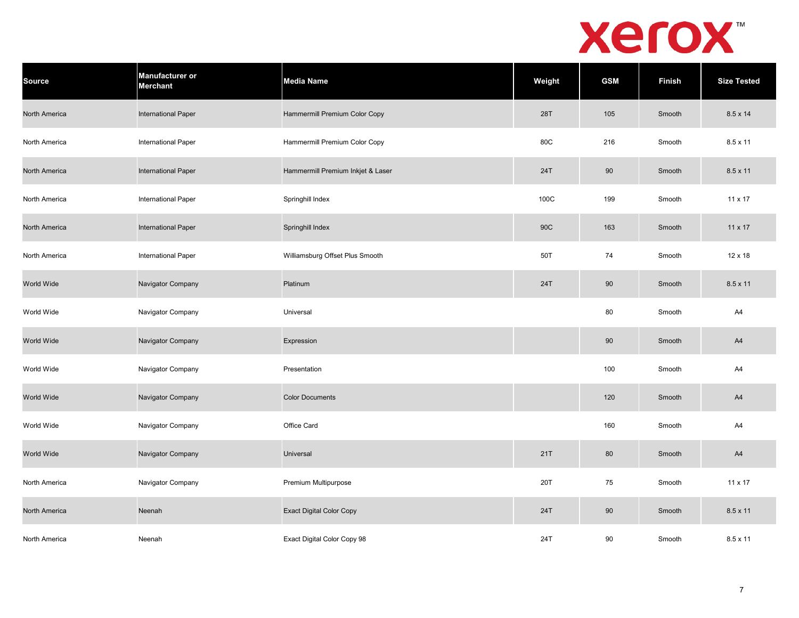

| <b>Source</b>     | Manufacturer or<br><b>Merchant</b> | <b>Media Name</b>                 | Weight | <b>GSM</b> | Finish | <b>Size Tested</b> |
|-------------------|------------------------------------|-----------------------------------|--------|------------|--------|--------------------|
| North America     | <b>International Paper</b>         | Hammermill Premium Color Copy     | 28T    | 105        | Smooth | $8.5 \times 14$    |
| North America     | International Paper                | Hammermill Premium Color Copy     | 80C    | 216        | Smooth | $8.5 \times 11$    |
| North America     | <b>International Paper</b>         | Hammermill Premium Inkjet & Laser | 24T    | 90         | Smooth | $8.5 \times 11$    |
| North America     | International Paper                | Springhill Index                  | 100C   | 199        | Smooth | $11 \times 17$     |
| North America     | <b>International Paper</b>         | Springhill Index                  | 90C    | 163        | Smooth | 11 x 17            |
| North America     | International Paper                | Williamsburg Offset Plus Smooth   | 50T    | 74         | Smooth | 12 x 18            |
| <b>World Wide</b> | Navigator Company                  | Platinum                          | 24T    | 90         | Smooth | $8.5 \times 11$    |
| World Wide        | Navigator Company                  | Universal                         |        | 80         | Smooth | A4                 |
| World Wide        | Navigator Company                  | Expression                        |        | 90         | Smooth | A4                 |
| World Wide        | Navigator Company                  | Presentation                      |        | 100        | Smooth | A4                 |
| World Wide        | Navigator Company                  | <b>Color Documents</b>            |        | 120        | Smooth | A4                 |
| World Wide        | Navigator Company                  | Office Card                       |        | 160        | Smooth | A4                 |
| World Wide        | Navigator Company                  | <b>Universal</b>                  | 21T    | 80         | Smooth | A4                 |
| North America     | Navigator Company                  | Premium Multipurpose              | 20T    | 75         | Smooth | 11 x 17            |
| North America     | Neenah                             | <b>Exact Digital Color Copy</b>   | 24T    | 90         | Smooth | $8.5 \times 11$    |
| North America     | Neenah                             | Exact Digital Color Copy 98       | 24T    | 90         | Smooth | $8.5 \times 11$    |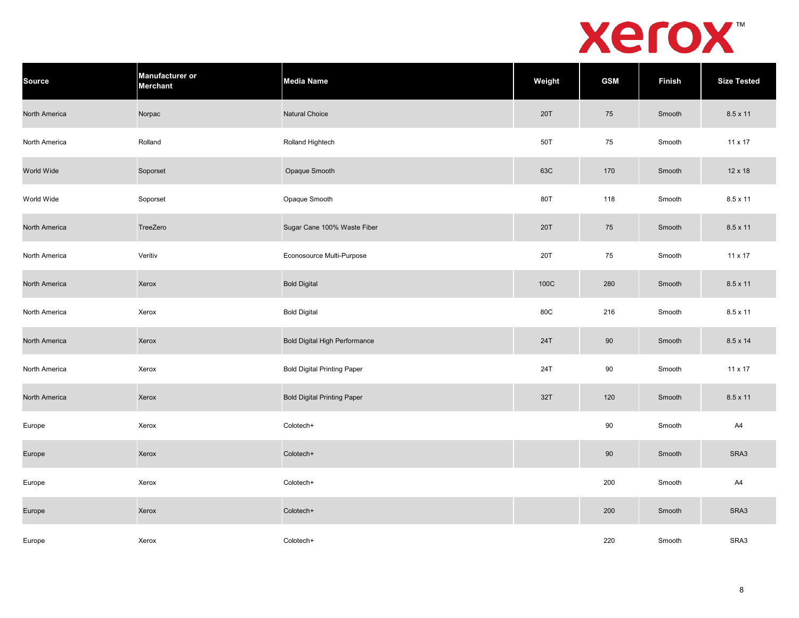

| <b>Source</b> | <b>Manufacturer or</b><br>Merchant | <b>Media Name</b>                    | Weight | <b>GSM</b> | <b>Finish</b> | <b>Size Tested</b> |
|---------------|------------------------------------|--------------------------------------|--------|------------|---------------|--------------------|
| North America | Norpac                             | <b>Natural Choice</b>                | 20T    | ${\bf 75}$ | Smooth        | 8.5 x 11           |
| North America | Rolland                            | Rolland Hightech                     | 50T    | 75         | Smooth        | 11 x 17            |
| World Wide    | Soporset                           | Opaque Smooth                        | 63C    | 170        | Smooth        | 12 x 18            |
| World Wide    | Soporset                           | Opaque Smooth                        | 80T    | 118        | Smooth        | $8.5 \times 11$    |
| North America | TreeZero                           | Sugar Cane 100% Waste Fiber          | 20T    | 75         | Smooth        | $8.5 \times 11$    |
| North America | Veritiv                            | Econosource Multi-Purpose            | 20T    | 75         | Smooth        | 11 x 17            |
| North America | Xerox                              | <b>Bold Digital</b>                  | 100C   | 280        | Smooth        | $8.5 \times 11$    |
| North America | Xerox                              | <b>Bold Digital</b>                  | 80C    | 216        | Smooth        | 8.5 x 11           |
| North America | Xerox                              | <b>Bold Digital High Performance</b> | 24T    | 90         | Smooth        | $8.5 \times 14$    |
| North America | Xerox                              | <b>Bold Digital Printing Paper</b>   | 24T    | 90         | Smooth        | $11 \times 17$     |
| North America | Xerox                              | <b>Bold Digital Printing Paper</b>   | 32T    | 120        | Smooth        | $8.5 \times 11$    |
| Europe        | Xerox                              | Colotech+                            |        | $90\,$     | Smooth        | A4                 |
| Europe        | Xerox                              | Colotech+                            |        | 90         | Smooth        | SRA3               |
| Europe        | Xerox                              | Colotech+                            |        | 200        | Smooth        | A4                 |
| Europe        | Xerox                              | Colotech+                            |        | 200        | Smooth        | SRA3               |
| Europe        | Xerox                              | Colotech+                            |        | 220        | Smooth        | SRA3               |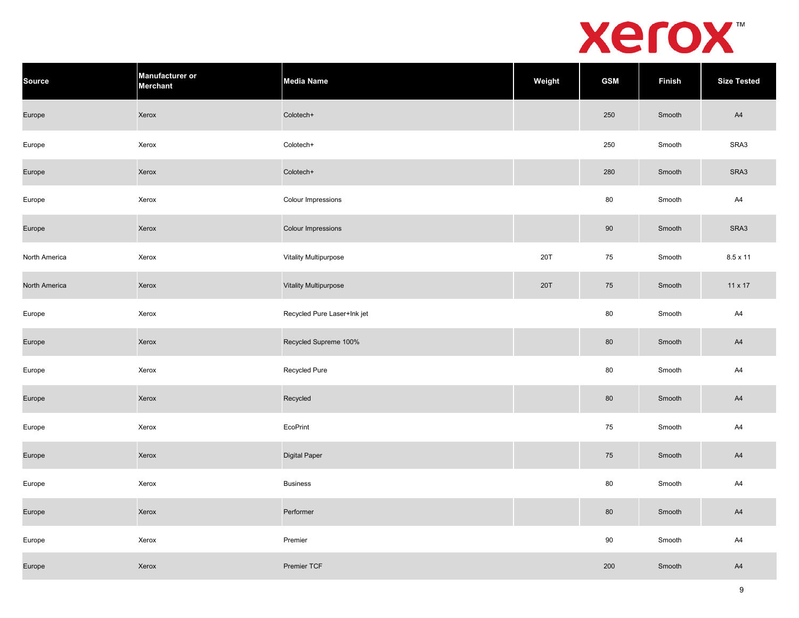

| <b>Source</b> | <b>Manufacturer or</b><br><b>Merchant</b> | <b>Media Name</b>            | Weight | <b>GSM</b> | <b>Finish</b> | <b>Size Tested</b> |
|---------------|-------------------------------------------|------------------------------|--------|------------|---------------|--------------------|
| Europe        | Xerox                                     | Colotech+                    |        | 250        | Smooth        | A4                 |
| Europe        | Xerox                                     | Colotech+                    |        | 250        | Smooth        | SRA3               |
| Europe        | Xerox                                     | Colotech+                    |        | 280        | Smooth        | SRA3               |
| Europe        | Xerox                                     | Colour Impressions           |        | 80         | Smooth        | A4                 |
| Europe        | Xerox                                     | <b>Colour Impressions</b>    |        | 90         | Smooth        | SRA3               |
| North America | Xerox                                     | Vitality Multipurpose        | 20T    | 75         | Smooth        | 8.5 x 11           |
| North America | Xerox                                     | <b>Vitality Multipurpose</b> | 20T    | 75         | Smooth        | 11 x 17            |
| Europe        | Xerox                                     | Recycled Pure Laser+Ink jet  |        | $80\,$     | Smooth        | A4                 |
| Europe        | Xerox                                     | Recycled Supreme 100%        |        | 80         | Smooth        | A4                 |
| Europe        | Xerox                                     | Recycled Pure                |        | 80         | Smooth        | A4                 |
| Europe        | Xerox                                     | Recycled                     |        | 80         | Smooth        | A4                 |
| Europe        | Xerox                                     | EcoPrint                     |        | 75         | Smooth        | A4                 |
| Europe        | Xerox                                     | <b>Digital Paper</b>         |        | 75         | Smooth        | A4                 |
| Europe        | Xerox                                     | <b>Business</b>              |        | 80         | Smooth        | A4                 |
| Europe        | Xerox                                     | Performer                    |        | 80         | Smooth        | A4                 |
| Europe        | Xerox                                     | Premier                      |        | 90         | Smooth        | A4                 |
| Europe        | Xerox                                     | Premier TCF                  |        | 200        | Smooth        | A4                 |